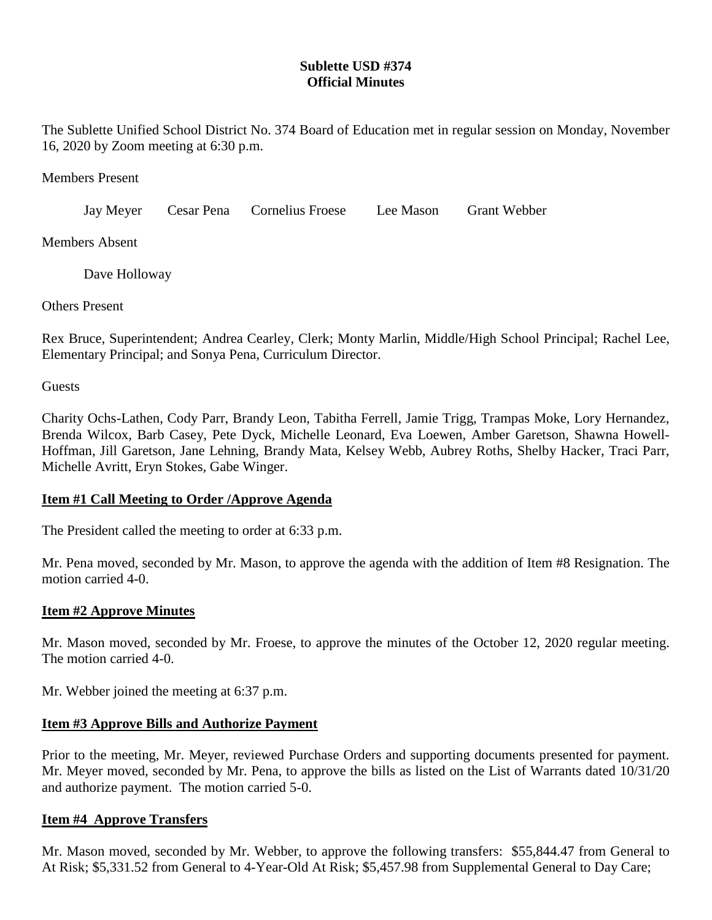# **Sublette USD #374 Official Minutes**

The Sublette Unified School District No. 374 Board of Education met in regular session on Monday, November 16, 2020 by Zoom meeting at 6:30 p.m.

Members Present

Jay Meyer Cesar Pena Cornelius Froese Lee Mason Grant Webber

Members Absent

Dave Holloway

Others Present

Rex Bruce, Superintendent; Andrea Cearley, Clerk; Monty Marlin, Middle/High School Principal; Rachel Lee, Elementary Principal; and Sonya Pena, Curriculum Director.

**Guests** 

Charity Ochs-Lathen, Cody Parr, Brandy Leon, Tabitha Ferrell, Jamie Trigg, Trampas Moke, Lory Hernandez, Brenda Wilcox, Barb Casey, Pete Dyck, Michelle Leonard, Eva Loewen, Amber Garetson, Shawna Howell-Hoffman, Jill Garetson, Jane Lehning, Brandy Mata, Kelsey Webb, Aubrey Roths, Shelby Hacker, Traci Parr, Michelle Avritt, Eryn Stokes, Gabe Winger.

#### **Item #1 Call Meeting to Order /Approve Agenda**

The President called the meeting to order at 6:33 p.m.

Mr. Pena moved, seconded by Mr. Mason, to approve the agenda with the addition of Item #8 Resignation. The motion carried 4-0.

#### **Item #2 Approve Minutes**

Mr. Mason moved, seconded by Mr. Froese, to approve the minutes of the October 12, 2020 regular meeting. The motion carried 4-0.

Mr. Webber joined the meeting at 6:37 p.m.

### **Item #3 Approve Bills and Authorize Payment**

Prior to the meeting, Mr. Meyer, reviewed Purchase Orders and supporting documents presented for payment. Mr. Meyer moved, seconded by Mr. Pena, to approve the bills as listed on the List of Warrants dated 10/31/20 and authorize payment. The motion carried 5-0.

#### **Item #4 Approve Transfers**

Mr. Mason moved, seconded by Mr. Webber, to approve the following transfers: \$55,844.47 from General to At Risk; \$5,331.52 from General to 4-Year-Old At Risk; \$5,457.98 from Supplemental General to Day Care;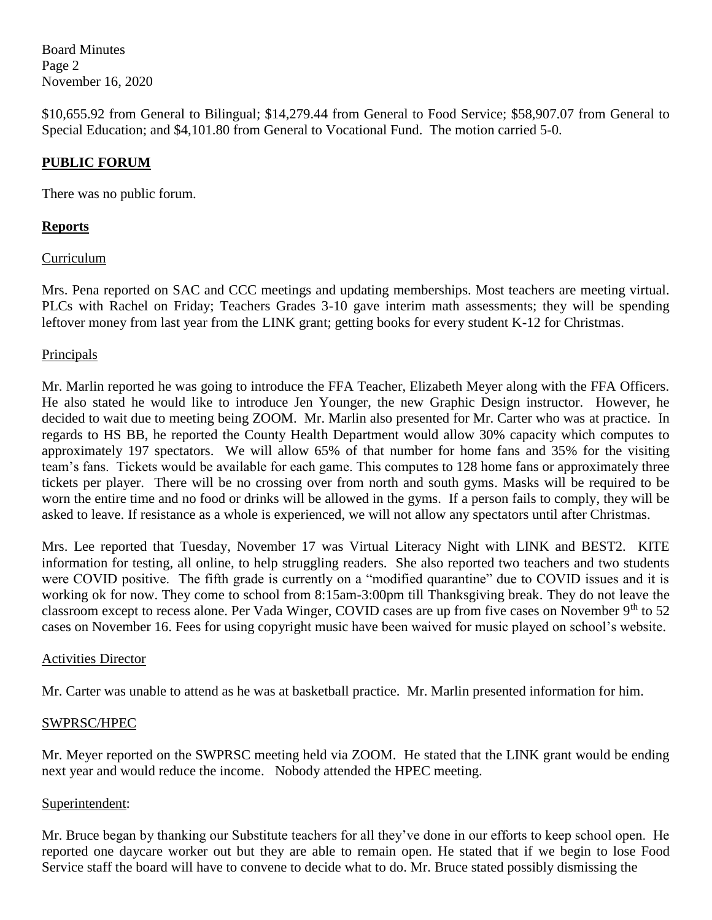Board Minutes Page 2 November 16, 2020

\$10,655.92 from General to Bilingual; \$14,279.44 from General to Food Service; \$58,907.07 from General to Special Education; and \$4,101.80 from General to Vocational Fund. The motion carried 5-0.

## **PUBLIC FORUM**

There was no public forum.

## **Reports**

### Curriculum

Mrs. Pena reported on SAC and CCC meetings and updating memberships. Most teachers are meeting virtual. PLCs with Rachel on Friday; Teachers Grades 3-10 gave interim math assessments; they will be spending leftover money from last year from the LINK grant; getting books for every student K-12 for Christmas.

### Principals

Mr. Marlin reported he was going to introduce the FFA Teacher, Elizabeth Meyer along with the FFA Officers. He also stated he would like to introduce Jen Younger, the new Graphic Design instructor. However, he decided to wait due to meeting being ZOOM. Mr. Marlin also presented for Mr. Carter who was at practice. In regards to HS BB, he reported the County Health Department would allow 30% capacity which computes to approximately 197 spectators. We will allow 65% of that number for home fans and 35% for the visiting team's fans. Tickets would be available for each game. This computes to 128 home fans or approximately three tickets per player. There will be no crossing over from north and south gyms. Masks will be required to be worn the entire time and no food or drinks will be allowed in the gyms. If a person fails to comply, they will be asked to leave. If resistance as a whole is experienced, we will not allow any spectators until after Christmas.

Mrs. Lee reported that Tuesday, November 17 was Virtual Literacy Night with LINK and BEST2. KITE information for testing, all online, to help struggling readers. She also reported two teachers and two students were COVID positive. The fifth grade is currently on a "modified quarantine" due to COVID issues and it is working ok for now. They come to school from 8:15am-3:00pm till Thanksgiving break. They do not leave the classroom except to recess alone. Per Vada Winger, COVID cases are up from five cases on November 9<sup>th</sup> to 52 cases on November 16. Fees for using copyright music have been waived for music played on school's website.

### Activities Director

Mr. Carter was unable to attend as he was at basketball practice. Mr. Marlin presented information for him.

### SWPRSC/HPEC

Mr. Meyer reported on the SWPRSC meeting held via ZOOM. He stated that the LINK grant would be ending next year and would reduce the income. Nobody attended the HPEC meeting.

#### Superintendent:

Mr. Bruce began by thanking our Substitute teachers for all they've done in our efforts to keep school open. He reported one daycare worker out but they are able to remain open. He stated that if we begin to lose Food Service staff the board will have to convene to decide what to do. Mr. Bruce stated possibly dismissing the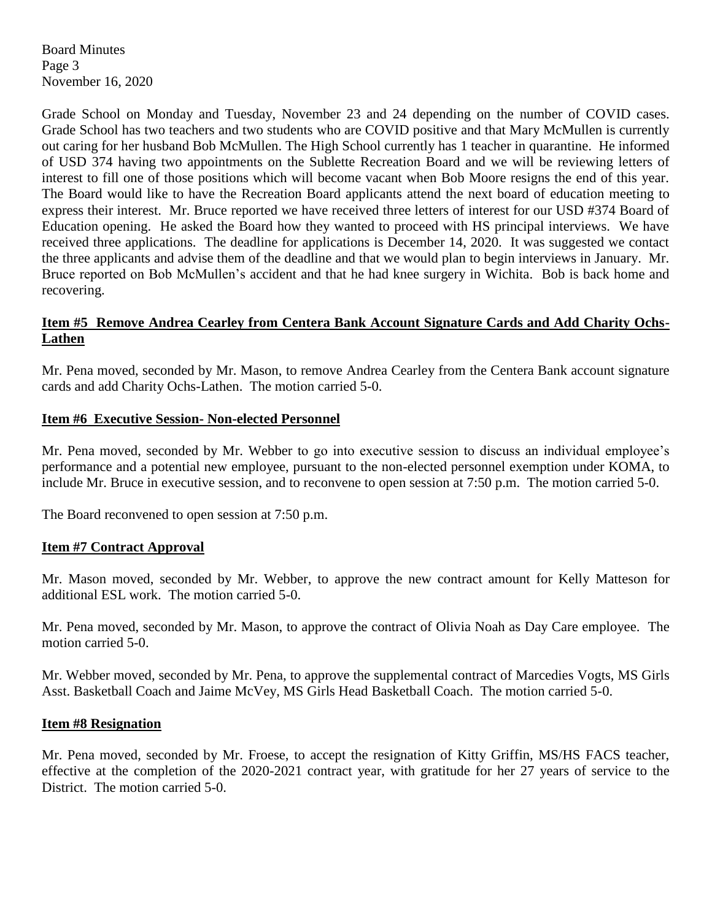Board Minutes Page 3 November 16, 2020

Grade School on Monday and Tuesday, November 23 and 24 depending on the number of COVID cases. Grade School has two teachers and two students who are COVID positive and that Mary McMullen is currently out caring for her husband Bob McMullen. The High School currently has 1 teacher in quarantine. He informed of USD 374 having two appointments on the Sublette Recreation Board and we will be reviewing letters of interest to fill one of those positions which will become vacant when Bob Moore resigns the end of this year. The Board would like to have the Recreation Board applicants attend the next board of education meeting to express their interest. Mr. Bruce reported we have received three letters of interest for our USD #374 Board of Education opening. He asked the Board how they wanted to proceed with HS principal interviews. We have received three applications. The deadline for applications is December 14, 2020. It was suggested we contact the three applicants and advise them of the deadline and that we would plan to begin interviews in January. Mr. Bruce reported on Bob McMullen's accident and that he had knee surgery in Wichita. Bob is back home and recovering.

#### **Item #5 Remove Andrea Cearley from Centera Bank Account Signature Cards and Add Charity Ochs-Lathen**

Mr. Pena moved, seconded by Mr. Mason, to remove Andrea Cearley from the Centera Bank account signature cards and add Charity Ochs-Lathen. The motion carried 5-0.

#### **Item #6 Executive Session- Non-elected Personnel**

Mr. Pena moved, seconded by Mr. Webber to go into executive session to discuss an individual employee's performance and a potential new employee, pursuant to the non-elected personnel exemption under KOMA, to include Mr. Bruce in executive session, and to reconvene to open session at 7:50 p.m. The motion carried 5-0.

The Board reconvened to open session at 7:50 p.m.

#### **Item #7 Contract Approval**

Mr. Mason moved, seconded by Mr. Webber, to approve the new contract amount for Kelly Matteson for additional ESL work. The motion carried 5-0.

Mr. Pena moved, seconded by Mr. Mason, to approve the contract of Olivia Noah as Day Care employee. The motion carried 5-0.

Mr. Webber moved, seconded by Mr. Pena, to approve the supplemental contract of Marcedies Vogts, MS Girls Asst. Basketball Coach and Jaime McVey, MS Girls Head Basketball Coach. The motion carried 5-0.

#### **Item #8 Resignation**

Mr. Pena moved, seconded by Mr. Froese, to accept the resignation of Kitty Griffin, MS/HS FACS teacher, effective at the completion of the 2020-2021 contract year, with gratitude for her 27 years of service to the District. The motion carried 5-0.